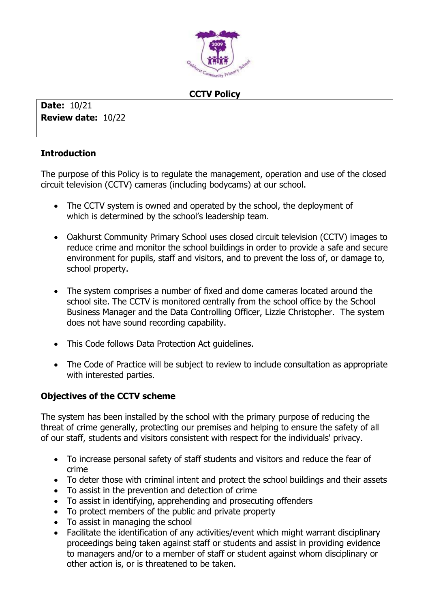

#### **CCTV Policy**

**Date:** 10/21 **Review date:** 10/22

#### **Introduction**

The purpose of this Policy is to regulate the management, operation and use of the closed circuit television (CCTV) cameras (including bodycams) at our school.

- The CCTV system is owned and operated by the school, the deployment of which is determined by the school's leadership team.
- Oakhurst Community Primary School uses closed circuit television (CCTV) images to reduce crime and monitor the school buildings in order to provide a safe and secure environment for pupils, staff and visitors, and to prevent the loss of, or damage to, school property.
- The system comprises a number of fixed and dome cameras located around the school site. The CCTV is monitored centrally from the school office by the School Business Manager and the Data Controlling Officer, Lizzie Christopher. The system does not have sound recording capability.
- This Code follows Data Protection Act guidelines.
- The Code of Practice will be subject to review to include consultation as appropriate with interested parties.

### **Objectives of the CCTV scheme**

The system has been installed by the school with the primary purpose of reducing the threat of crime generally, protecting our premises and helping to ensure the safety of all of our staff, students and visitors consistent with respect for the individuals' privacy.

- To increase personal safety of staff students and visitors and reduce the fear of crime
- To deter those with criminal intent and protect the school buildings and their assets
- To assist in the prevention and detection of crime
- To assist in identifying, apprehending and prosecuting offenders
- To protect members of the public and private property
- To assist in managing the school
- Facilitate the identification of any activities/event which might warrant disciplinary proceedings being taken against staff or students and assist in providing evidence to managers and/or to a member of staff or student against whom disciplinary or other action is, or is threatened to be taken.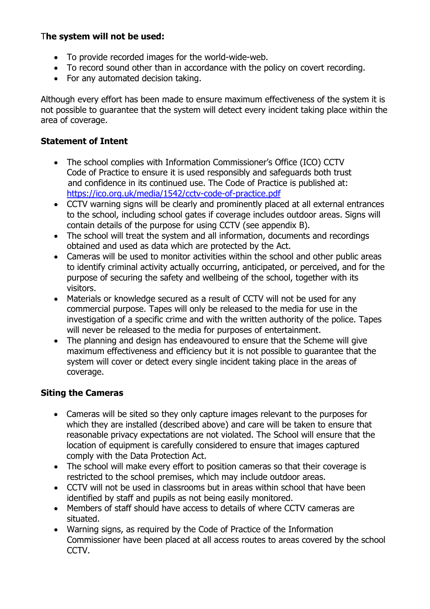### T**he system will not be used:**

- To provide recorded images for the world-wide-web.
- To record sound other than in accordance with the policy on covert recording.
- For any automated decision taking.

Although every effort has been made to ensure maximum effectiveness of the system it is not possible to guarantee that the system will detect every incident taking place within the area of coverage.

### **Statement of Intent**

- The school complies with Information Commissioner's Office (ICO) CCTV Code of Practice to ensure it is used responsibly and safeguards both trust and confidence in its continued use. The Code of Practice is published at: <https://ico.org.uk/media/1542/cctv-code-of-practice.pdf>
- CCTV warning signs will be clearly and prominently placed at all external entrances to the school, including school gates if coverage includes outdoor areas. Signs will contain details of the purpose for using CCTV (see appendix B).
- The school will treat the system and all information, documents and recordings obtained and used as data which are protected by the Act.
- Cameras will be used to monitor activities within the school and other public areas to identify criminal activity actually occurring, anticipated, or perceived, and for the purpose of securing the safety and wellbeing of the school, together with its visitors.
- Materials or knowledge secured as a result of CCTV will not be used for any commercial purpose. Tapes will only be released to the media for use in the investigation of a specific crime and with the written authority of the police. Tapes will never be released to the media for purposes of entertainment.
- The planning and design has endeavoured to ensure that the Scheme will give maximum effectiveness and efficiency but it is not possible to guarantee that the system will cover or detect every single incident taking place in the areas of coverage.

### **Siting the Cameras**

- Cameras will be sited so they only capture images relevant to the purposes for which they are installed (described above) and care will be taken to ensure that reasonable privacy expectations are not violated. The School will ensure that the location of equipment is carefully considered to ensure that images captured comply with the Data Protection Act.
- The school will make every effort to position cameras so that their coverage is restricted to the school premises, which may include outdoor areas.
- CCTV will not be used in classrooms but in areas within school that have been identified by staff and pupils as not being easily monitored.
- Members of staff should have access to details of where CCTV cameras are situated.
- Warning signs, as required by the Code of Practice of the Information Commissioner have been placed at all access routes to areas covered by the school CCTV.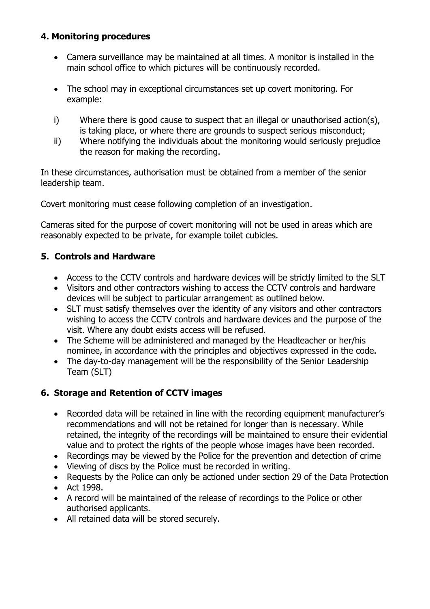### **4. Monitoring procedures**

- Camera surveillance may be maintained at all times. A monitor is installed in the main school office to which pictures will be continuously recorded.
- The school may in exceptional circumstances set up covert monitoring. For example:
- i) Where there is good cause to suspect that an illegal or unauthorised action(s), is taking place, or where there are grounds to suspect serious misconduct;
- ii) Where notifying the individuals about the monitoring would seriously prejudice the reason for making the recording.

In these circumstances, authorisation must be obtained from a member of the senior leadership team.

Covert monitoring must cease following completion of an investigation.

Cameras sited for the purpose of covert monitoring will not be used in areas which are reasonably expected to be private, for example toilet cubicles.

## **5. Controls and Hardware**

- Access to the CCTV controls and hardware devices will be strictly limited to the SLT
- Visitors and other contractors wishing to access the CCTV controls and hardware devices will be subject to particular arrangement as outlined below.
- SLT must satisfy themselves over the identity of any visitors and other contractors wishing to access the CCTV controls and hardware devices and the purpose of the visit. Where any doubt exists access will be refused.
- The Scheme will be administered and managed by the Headteacher or her/his nominee, in accordance with the principles and objectives expressed in the code.
- The day-to-day management will be the responsibility of the Senior Leadership Team (SLT)

# **6. Storage and Retention of CCTV images**

- Recorded data will be retained in line with the recording equipment manufacturer's recommendations and will not be retained for longer than is necessary. While retained, the integrity of the recordings will be maintained to ensure their evidential value and to protect the rights of the people whose images have been recorded.
- Recordings may be viewed by the Police for the prevention and detection of crime
- Viewing of discs by the Police must be recorded in writing.
- Requests by the Police can only be actioned under section 29 of the Data Protection
- Act 1998.
- A record will be maintained of the release of recordings to the Police or other authorised applicants.
- All retained data will be stored securely.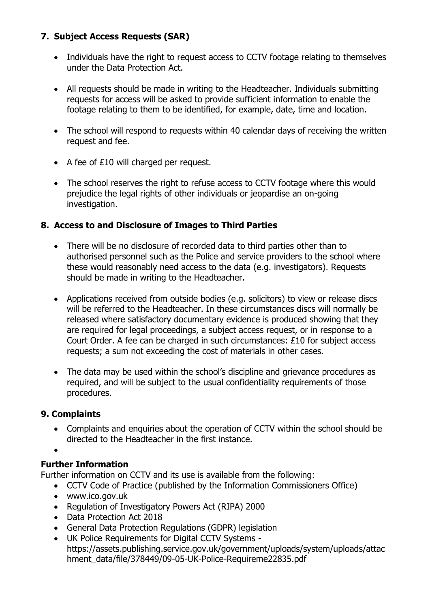## **7. Subject Access Requests (SAR)**

- Individuals have the right to request access to CCTV footage relating to themselves under the Data Protection Act.
- All requests should be made in writing to the Headteacher. Individuals submitting requests for access will be asked to provide sufficient information to enable the footage relating to them to be identified, for example, date, time and location.
- The school will respond to requests within 40 calendar days of receiving the written request and fee.
- A fee of £10 will charged per request.
- The school reserves the right to refuse access to CCTV footage where this would prejudice the legal rights of other individuals or jeopardise an on-going investigation.

### **8. Access to and Disclosure of Images to Third Parties**

- There will be no disclosure of recorded data to third parties other than to authorised personnel such as the Police and service providers to the school where these would reasonably need access to the data (e.g. investigators). Requests should be made in writing to the Headteacher.
- Applications received from outside bodies (e.g. solicitors) to view or release discs will be referred to the Headteacher. In these circumstances discs will normally be released where satisfactory documentary evidence is produced showing that they are required for legal proceedings, a subject access request, or in response to a Court Order. A fee can be charged in such circumstances: £10 for subject access requests; a sum not exceeding the cost of materials in other cases.
- The data may be used within the school's discipline and grievance procedures as required, and will be subject to the usual confidentiality requirements of those procedures.

#### **9. Complaints**

- Complaints and enquiries about the operation of CCTV within the school should be directed to the Headteacher in the first instance.
- •

# **Further Information**

Further information on CCTV and its use is available from the following:

- CCTV Code of Practice (published by the Information Commissioners Office)
- www.ico.gov.uk
- Regulation of Investigatory Powers Act (RIPA) 2000
- Data Protection Act 2018
- General Data Protection Regulations (GDPR) legislation
- UK Police Requirements for Digital CCTV Systems https://assets.publishing.service.gov.uk/government/uploads/system/uploads/attac hment\_data/file/378449/09-05-UK-Police-Requireme22835.pdf